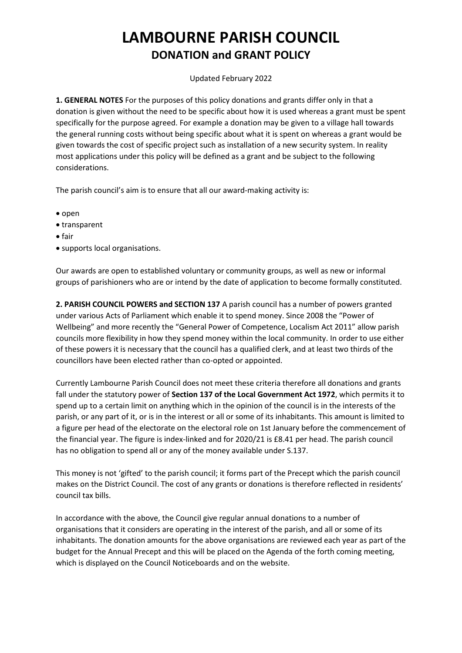## **LAMBOURNE PARISH COUNCIL DONATION and GRANT POLICY**

## Updated February 2022

**1. GENERAL NOTES** For the purposes of this policy donations and grants differ only in that a donation is given without the need to be specific about how it is used whereas a grant must be spent specifically for the purpose agreed. For example a donation may be given to a village hall towards the general running costs without being specific about what it is spent on whereas a grant would be given towards the cost of specific project such as installation of a new security system. In reality most applications under this policy will be defined as a grant and be subject to the following considerations.

The parish council's aim is to ensure that all our award-making activity is:

- $\bullet$  open
- transparent
- $\bullet$  fair
- supports local organisations.

Our awards are open to established voluntary or community groups, as well as new or informal groups of parishioners who are or intend by the date of application to become formally constituted.

**2. PARISH COUNCIL POWERS and SECTION 137** A parish council has a number of powers granted under various Acts of Parliament which enable it to spend money. Since 2008 the "Power of Wellbeing" and more recently the "General Power of Competence, Localism Act 2011" allow parish councils more flexibility in how they spend money within the local community. In order to use either of these powers it is necessary that the council has a qualified clerk, and at least two thirds of the councillors have been elected rather than co-opted or appointed.

Currently Lambourne Parish Council does not meet these criteria therefore all donations and grants fall under the statutory power of **Section 137 of the Local Government Act 1972**, which permits it to spend up to a certain limit on anything which in the opinion of the council is in the interests of the parish, or any part of it, or is in the interest or all or some of its inhabitants. This amount is limited to a figure per head of the electorate on the electoral role on 1st January before the commencement of the financial year. The figure is index-linked and for 2020/21 is £8.41 per head. The parish council has no obligation to spend all or any of the money available under S.137.

This money is not 'gifted' to the parish council; it forms part of the Precept which the parish council makes on the District Council. The cost of any grants or donations is therefore reflected in residents' council tax bills.

In accordance with the above, the Council give regular annual donations to a number of organisations that it considers are operating in the interest of the parish, and all or some of its inhabitants. The donation amounts for the above organisations are reviewed each year as part of the budget for the Annual Precept and this will be placed on the Agenda of the forth coming meeting, which is displayed on the Council Noticeboards and on the website.